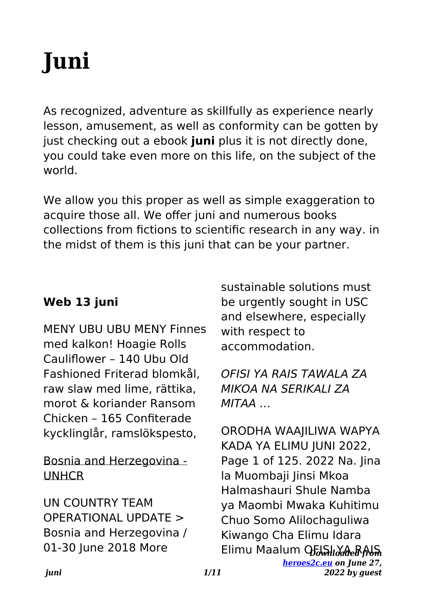# **Juni**

As recognized, adventure as skillfully as experience nearly lesson, amusement, as well as conformity can be gotten by just checking out a ebook **juni** plus it is not directly done, you could take even more on this life, on the subject of the world.

We allow you this proper as well as simple exaggeration to acquire those all. We offer juni and numerous books collections from fictions to scientific research in any way. in the midst of them is this juni that can be your partner.

## **Web 13 juni**

MENY UBU UBU MENY Finnes med kalkon! Hoagie Rolls Cauliflower – 140 Ubu Old Fashioned Friterad blomkål, raw slaw med lime, rättika, morot & koriander Ransom Chicken – 165 Confiterade kycklinglår, ramslökspesto,

#### Bosnia and Herzegovina - UNHCR

UN COUNTRY TEAM OPERATIONAL UPDATE > Bosnia and Herzegovina / 01-30 June 2018 More

sustainable solutions must be urgently sought in USC and elsewhere, especially with respect to accommodation.

OFISI YA RAIS TAWALA ZA MIKOA NA SERIKALI ZA MITAA …

Elimu Maalum OեԽոս*ծան*երի հ *[heroes2c.eu](http://heroes2c.eu) on June 27, 2022 by guest* ORODHA WAAJILIWA WAPYA KADA YA ELIMU JUNI 2022, Page 1 of 125. 2022 Na. Jina la Muombaji Jinsi Mkoa Halmashauri Shule Namba ya Maombi Mwaka Kuhitimu Chuo Somo Alilochaguliwa Kiwango Cha Elimu Idara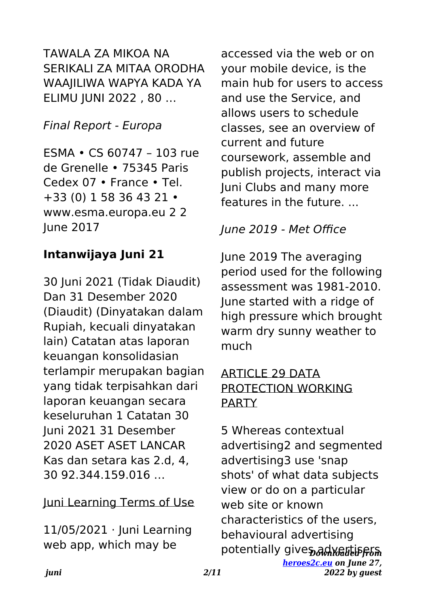TAWALA ZA MIKOA NA SERIKALI ZA MITAA ORODHA WAAJILIWA WAPYA KADA YA ELIMU JUNI 2022 , 80 …

#### Final Report - Europa

ESMA • CS 60747 – 103 rue de Grenelle • 75345 Paris Cedex 07 • France • Tel. +33 (0) 1 58 36 43 21 • www.esma.europa.eu 2 2 June 2017

#### **Intanwijaya Juni 21**

30 Juni 2021 (Tidak Diaudit) Dan 31 Desember 2020 (Diaudit) (Dinyatakan dalam Rupiah, kecuali dinyatakan lain) Catatan atas laporan keuangan konsolidasian terlampir merupakan bagian yang tidak terpisahkan dari laporan keuangan secara keseluruhan 1 Catatan 30 Juni 2021 31 Desember 2020 ASET ASET LANCAR Kas dan setara kas 2.d, 4, 30 92.344.159.016 …

#### Juni Learning Terms of Use

11/05/2021 · Juni Learning web app, which may be

accessed via the web or on your mobile device, is the main hub for users to access and use the Service, and allows users to schedule classes, see an overview of current and future coursework, assemble and publish projects, interact via Juni Clubs and many more features in the future. ...

#### June 2019 - Met Office

June 2019 The averaging period used for the following assessment was 1981-2010. June started with a ridge of high pressure which brought warm dry sunny weather to much

#### ARTICLE 29 DATA PROTECTION WORKING **PARTY**

potentially giveร สน*ิงคล*ี่ย์ ครรค *[heroes2c.eu](http://heroes2c.eu) on June 27, 2022 by guest* 5 Whereas contextual advertising2 and segmented advertising3 use 'snap shots' of what data subjects view or do on a particular web site or known characteristics of the users, behavioural advertising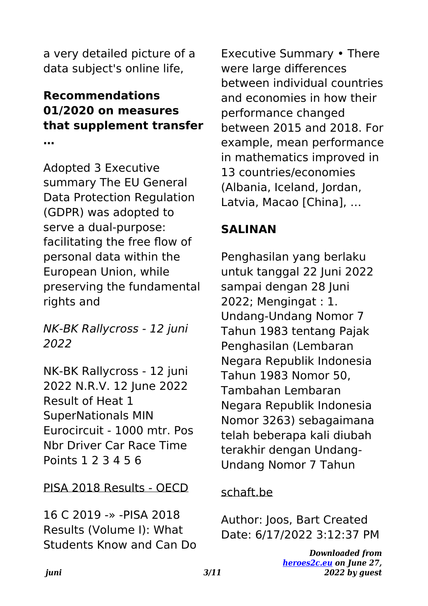a very detailed picture of a data subject's online life,

#### **Recommendations 01/2020 on measures that supplement transfer …**

Adopted 3 Executive summary The EU General Data Protection Regulation (GDPR) was adopted to serve a dual-purpose: facilitating the free flow of personal data within the European Union, while preserving the fundamental rights and

NK-BK Rallycross - 12 juni 2022

NK-BK Rallycross - 12 juni 2022 N.R.V. 12 June 2022 Result of Heat 1 SuperNationals MIN Eurocircuit - 1000 mtr. Pos Nbr Driver Car Race Time Points 1 2 3 4 5 6

PISA 2018 Results - OECD

16 C 2019 -» -PISA 2018 Results (Volume I): What Students Know and Can Do Executive Summary • There were large differences between individual countries and economies in how their performance changed between 2015 and 2018. For example, mean performance in mathematics improved in 13 countries/economies (Albania, Iceland, Jordan, Latvia, Macao [China], …

## **SALINAN**

Penghasilan yang berlaku untuk tanggal 22 Juni 2022 sampai dengan 28 Juni 2022; Mengingat : 1. Undang-Undang Nomor 7 Tahun 1983 tentang Pajak Penghasilan (Lembaran Negara Republik Indonesia Tahun 1983 Nomor 50, Tambahan Lembaran Negara Republik Indonesia Nomor 3263) sebagaimana telah beberapa kali diubah terakhir dengan Undang-Undang Nomor 7 Tahun

#### schaft.be

Author: Joos, Bart Created Date: 6/17/2022 3:12:37 PM

> *Downloaded from [heroes2c.eu](http://heroes2c.eu) on June 27, 2022 by guest*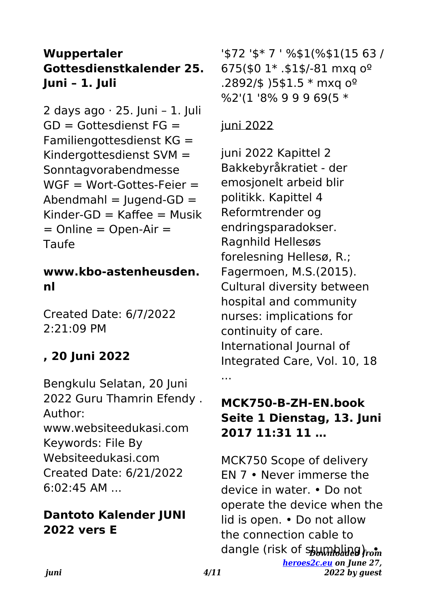## **Wuppertaler Gottesdienstkalender 25. Juni – 1. Juli**

2 days ago · 25. Juni – 1. Juli  $GD =$  Gottesdienst  $FG =$ Familiengottesdienst KG = Kindergottesdienst SVM = Sonntagvorabendmesse  $WGF = Wort-Gottes-Feier =$  $Abendmahl = luqend-GD =$  $Kinder-GD = Kaffee = Musik$  $=$  Online  $=$  Open-Air  $=$ Taufe

#### **www.kbo-astenheusden. nl**

Created Date: 6/7/2022 2:21:09 PM

## **, 20 Juni 2022**

Bengkulu Selatan, 20 Juni 2022 Guru Thamrin Efendy . Author: www.websiteedukasi.com Keywords: File By Websiteedukasi.com Created Date: 6/21/2022 6:02:45 AM ...

## **Dantoto Kalender JUNI 2022 vers E**

'\$72 '\$\* 7 ' %\$1(%\$1(15 63 / 675(\$0 1\* .\$1\$/-81 mxq oº .2892/\$ )5\$1.5 \* mxq oº %2'(1 '8% 9 9 9 69(5 \*

#### juni 2022

juni 2022 Kapittel 2 Bakkebyråkratiet - der emosjonelt arbeid blir politikk. Kapittel 4 Reformtrender og endringsparadokser. Ragnhild Hellesøs forelesning Hellesø, R.; Fagermoen, M.S.(2015). Cultural diversity between hospital and community nurses: implications for continuity of care. International Journal of Integrated Care, Vol. 10, 18 ...

#### **MCK750-B-ZH-EN.book Seite 1 Dienstag, 13. Juni 2017 11:31 11 …**

dangle (risk of s<del>tumbling). ••</del> *[heroes2c.eu](http://heroes2c.eu) on June 27, 2022 by guest* MCK750 Scope of delivery EN 7 • Never immerse the device in water. • Do not operate the device when the lid is open. • Do not allow the connection cable to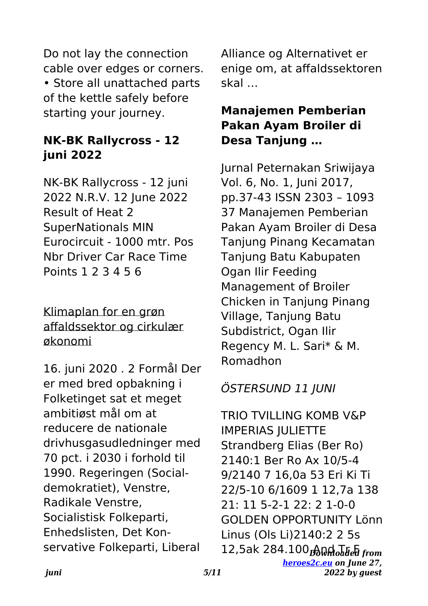Do not lay the connection cable over edges or corners. • Store all unattached parts of the kettle safely before starting your journey.

## **NK-BK Rallycross - 12 juni 2022**

NK-BK Rallycross - 12 juni 2022 N.R.V. 12 June 2022 Result of Heat 2 SuperNationals MIN Eurocircuit - 1000 mtr. Pos Nbr Driver Car Race Time Points 1 2 3 4 5 6

Klimaplan for en grøn affaldssektor og cirkulær økonomi

16. juni 2020 . 2 Formål Der er med bred opbakning i Folketinget sat et meget ambitiøst mål om at reducere de nationale drivhusgasudledninger med 70 pct. i 2030 i forhold til 1990. Regeringen (Socialdemokratiet), Venstre, Radikale Venstre, Socialistisk Folkeparti, Enhedslisten, Det Konservative Folkeparti, Liberal

Alliance og Alternativet er enige om, at affaldssektoren skal …

## **Manajemen Pemberian Pakan Ayam Broiler di Desa Tanjung …**

Jurnal Peternakan Sriwijaya Vol. 6, No. 1, Juni 2017, pp.37-43 ISSN 2303 – 1093 37 Manajemen Pemberian Pakan Ayam Broiler di Desa Tanjung Pinang Kecamatan Tanjung Batu Kabupaten Ogan Ilir Feeding Management of Broiler Chicken in Tanjung Pinang Village, Tanjung Batu Subdistrict, Ogan Ilir Regency M. L. Sari\* & M. Romadhon

## ÖSTERSUND 11 JUNI

12,5ak 284.100 <del>թ</del>ան Ման Ման Մար *[heroes2c.eu](http://heroes2c.eu) on June 27, 2022 by guest* TRIO TVILLING KOMB V&P IMPERIAS JULIETTE Strandberg Elias (Ber Ro) 2140:1 Ber Ro Ax 10/5-4 9/2140 7 16,0a 53 Eri Ki Ti 22/5-10 6/1609 1 12,7a 138 21: 11 5-2-1 22: 2 1-0-0 GOLDEN OPPORTUNITY Lönn Linus (Ols Li)2140:2 2 5s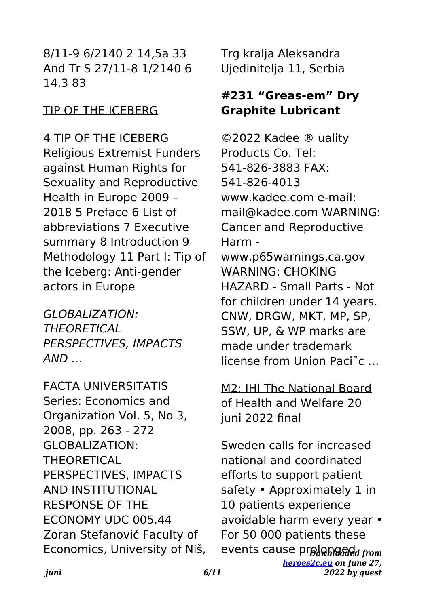8/11-9 6/2140 2 14,5a 33 And Tr S 27/11-8 1/2140 6 14,3 83

#### TIP OF THE ICEBERG

4 TIP OF THE ICEBERG Religious Extremist Funders against Human Rights for Sexuality and Reproductive Health in Europe 2009 – 2018 5 Preface 6 List of abbreviations 7 Executive summary 8 Introduction 9 Methodology 11 Part I: Tip of the Iceberg: Anti-gender actors in Europe

GLOBALIZATION: **THEORETICAL** PERSPECTIVES, IMPACTS  $AND...$ 

FACTA UNIVERSITATIS Series: Economics and Organization Vol. 5, No 3, 2008, pp. 263 - 272 GLOBALIZATION: THEORETICAL PERSPECTIVES, IMPACTS AND INSTITUTIONAL RESPONSE OF THE ECONOMY UDC 005.44 Zoran Stefanović Faculty of Economics, University of Niš, Trg kralja Aleksandra Ujedinitelja 11, Serbia

## **#231 "Greas-em" Dry Graphite Lubricant**

©2022 Kadee ® uality Products Co. Tel: 541-826-3883 FAX: 541-826-4013 www.kadee.com e-mail: mail@kadee.com WARNING: Cancer and Reproductive Harm www.p65warnings.ca.gov WARNING: CHOKING HAZARD - Small Parts - Not for children under 14 years. CNW, DRGW, MKT, MP, SP, SSW, UP, & WP marks are

made under trademark license from Union Paci˜c …

## M2: IHI The National Board of Health and Welfare 20 juni 2022 final

events cause prolonged from *[heroes2c.eu](http://heroes2c.eu) on June 27, 2022 by guest* Sweden calls for increased national and coordinated efforts to support patient safety • Approximately 1 in 10 patients experience avoidable harm every year • For 50 000 patients these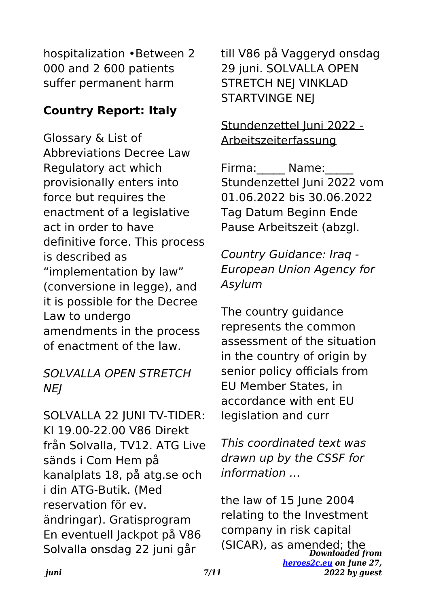hospitalization •Between 2 000 and 2 600 patients suffer permanent harm

#### **Country Report: Italy**

Glossary & List of Abbreviations Decree Law Regulatory act which provisionally enters into force but requires the enactment of a legislative act in order to have definitive force. This process is described as "implementation by law" (conversione in legge), and it is possible for the Decree Law to undergo amendments in the process of enactment of the law.

#### SOLVALLA OPEN STRETCH **NEI**

SOLVALLA 22 JUNI TV-TIDER: Kl 19.00-22.00 V86 Direkt från Solvalla, TV12. ATG Live sänds i Com Hem på kanalplats 18, på atg.se och i din ATG-Butik. (Med reservation för ev. ändringar). Gratisprogram En eventuell Jackpot på V86 Solvalla onsdag 22 juni går

till V86 på Vaggeryd onsdag 29 juni. SOLVALLA OPEN STRETCH NEJ VINKLAD STARTVINGE NEJ

#### Stundenzettel Juni 2022 - Arbeitszeiterfassung

Firma: Name: Stundenzettel Juni 2022 vom 01.06.2022 bis 30.06.2022 Tag Datum Beginn Ende Pause Arbeitszeit (abzgl.

Country Guidance: Iraq - European Union Agency for Asylum

The country guidance represents the common assessment of the situation in the country of origin by senior policy officials from EU Member States, in accordance with ent EU legislation and curr

This coordinated text was drawn up by the CSSF for information …

*Downloaded from* (SICAR), as amended; the*[heroes2c.eu](http://heroes2c.eu) on June 27, 2022 by guest* the law of 15 June 2004 relating to the Investment company in risk capital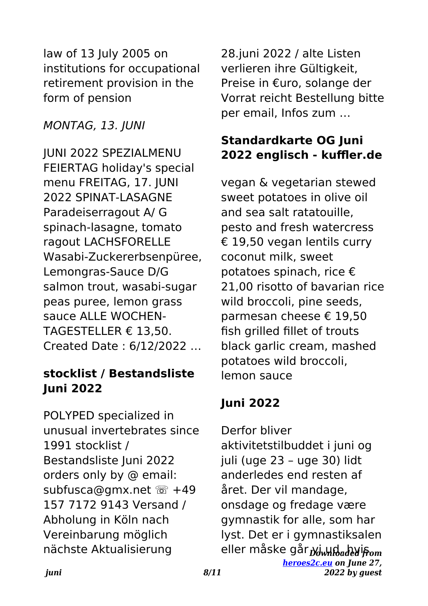law of 13 July 2005 on institutions for occupational retirement provision in the form of pension

#### MONTAG, 13. JUNI

JUNI 2022 SPEZIALMENU FEIERTAG holiday's special menu FREITAG, 17. JUNI 2022 SPINAT-LASAGNE Paradeiserragout A/ G spinach-lasagne, tomato ragout LACHSFORELLE Wasabi-Zuckererbsenpüree, Lemongras-Sauce D/G salmon trout, wasabi-sugar peas puree, lemon grass sauce ALLE WOCHEN-TAGESTELLER € 13,50. Created Date : 6/12/2022 …

#### **stocklist / Bestandsliste Juni 2022**

POLYPED specialized in unusual invertebrates since 1991 stocklist / Bestandsliste Juni 2022 orders only by @ email: subfusca@gmx.net <sup>2</sup> +49 157 7172 9143 Versand / Abholung in Köln nach Vereinbarung möglich nächste Aktualisierung

28.juni 2022 / alte Listen verlieren ihre Gültigkeit, Preise in €uro, solange der Vorrat reicht Bestellung bitte per email, Infos zum …

## **Standardkarte OG Juni 2022 englisch - kuffler.de**

vegan & vegetarian stewed sweet potatoes in olive oil and sea salt ratatouille, pesto and fresh watercress € 19,50 vegan lentils curry coconut milk, sweet potatoes spinach, rice € 21,00 risotto of bavarian rice wild broccoli, pine seeds, parmesan cheese € 19,50 fish grilled fillet of trouts black garlic cream, mashed potatoes wild broccoli, lemon sauce

## **Juni 2022**

eller måske går*ᢧ*إسلام eller måske *[heroes2c.eu](http://heroes2c.eu) on June 27, 2022 by guest* Derfor bliver aktivitetstilbuddet i juni og juli (uge 23 – uge 30) lidt anderledes end resten af året. Der vil mandage, onsdage og fredage være gymnastik for alle, som har lyst. Det er i gymnastiksalen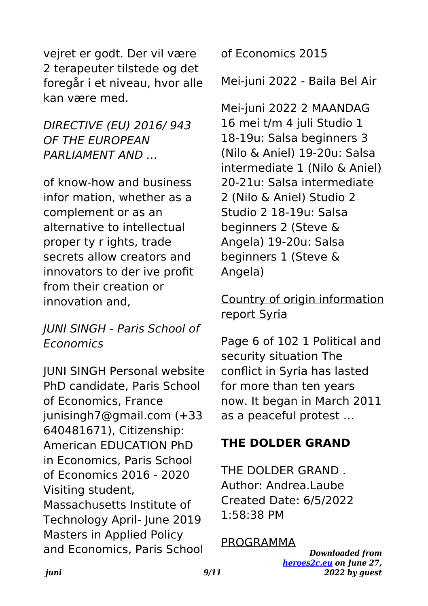vejret er godt. Der vil være 2 terapeuter tilstede og det foregår i et niveau, hvor alle kan være med.

DIRECTIVE (EU) 2016/ 943 OF THE EUROPEAN PARLIAMENT AND …

of know-how and business infor mation, whether as a complement or as an alternative to intellectual proper ty r ights, trade secrets allow creators and innovators to der ive profit from their creation or innovation and,

#### JUNI SINGH - Paris School of Economics

JUNI SINGH Personal website PhD candidate, Paris School of Economics, France junisingh7@gmail.com (+33 640481671), Citizenship: American EDUCATION PhD in Economics, Paris School of Economics 2016 - 2020 Visiting student, Massachusetts Institute of Technology April- June 2019 Masters in Applied Policy and Economics, Paris School of Economics 2015

#### Mei-juni 2022 - Baila Bel Air

Mei-juni 2022 2 MAANDAG 16 mei t/m 4 juli Studio 1 18-19u: Salsa beginners 3 (Nilo & Aniel) 19-20u: Salsa intermediate 1 (Nilo & Aniel) 20-21u: Salsa intermediate 2 (Nilo & Aniel) Studio 2 Studio 2 18-19u: Salsa beginners 2 (Steve & Angela) 19-20u: Salsa beginners 1 (Steve & Angela)

## Country of origin information report Syria

Page 6 of 102 1 Political and security situation The conflict in Syria has lasted for more than ten years now. It began in March 2011 as a peaceful protest …

## **THE DOLDER GRAND**

THE DOLDER GRAND . Author: Andrea.Laube Created Date: 6/5/2022 1:58:38 PM

#### PROGRAMMA

*Downloaded from [heroes2c.eu](http://heroes2c.eu) on June 27, 2022 by guest*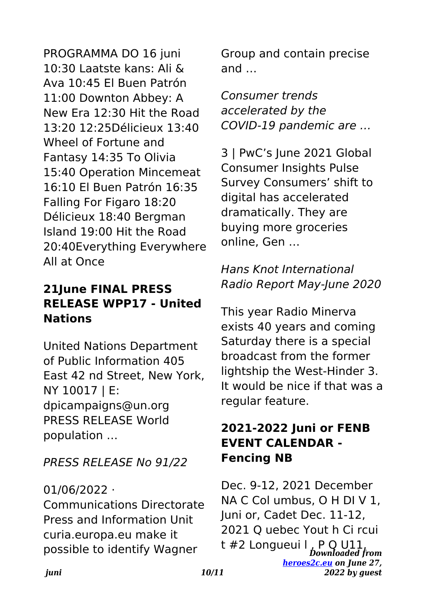PROGRAMMA DO 16 juni 10:30 Laatste kans: Ali & Ava 10:45 El Buen Patrón 11:00 Downton Abbey: A New Era 12:30 Hit the Road 13:20 12:25Délicieux 13:40 Wheel of Fortune and Fantasy 14:35 To Olivia 15:40 Operation Mincemeat 16:10 El Buen Patrón 16:35 Falling For Figaro 18:20 Délicieux 18:40 Bergman Island 19:00 Hit the Road 20:40Everything Everywhere All at Once

## **21June FINAL PRESS RELEASE WPP17 - United Nations**

United Nations Department of Public Information 405 East 42 nd Street, New York, NY 10017 | E: dpicampaigns@un.org PRESS RELEASE World population …

PRESS RELEASE No 91/22

#### 01/06/2022 ·

Communications Directorate Press and Information Unit curia.europa.eu make it possible to identify Wagner

Group and contain precise and …

Consumer trends accelerated by the COVID-19 pandemic are …

3 | PwC's June 2021 Global Consumer Insights Pulse Survey Consumers' shift to digital has accelerated dramatically. They are buying more groceries online, Gen …

## Hans Knot International Radio Report May-June 2020

This year Radio Minerva exists 40 years and coming Saturday there is a special broadcast from the former lightship the West-Hinder 3. It would be nice if that was a regular feature.

#### **2021-2022 Juni or FENB EVENT CALENDAR - Fencing NB**

*Downloaded from* t #2 Longueui l , P Q U11,*[heroes2c.eu](http://heroes2c.eu) on June 27, 2022 by guest* Dec. 9-12, 2021 December NA C Col umbus, O H DI V 1, Juni or, Cadet Dec. 11-12, 2021 Q uebec Yout h Ci rcui